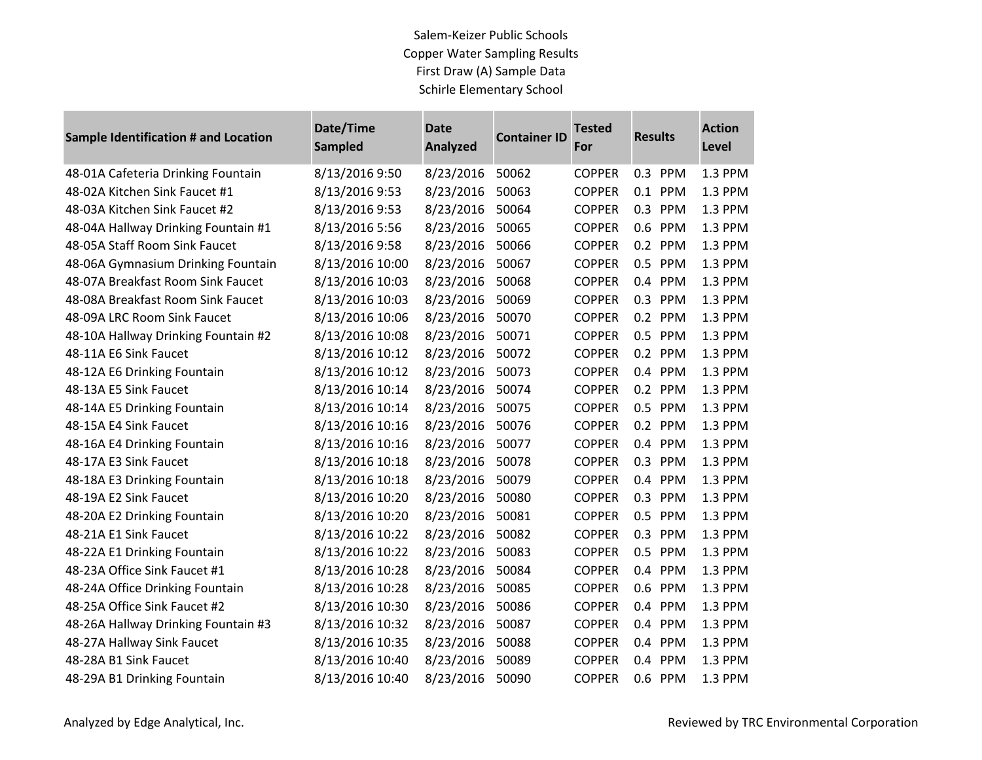### Salem-Keizer Public Schools Copper Water Sampling Results First Draw (A) Sample Data Schirle Elementary School

**Contract Contract** 

| <b>Sample Identification # and Location</b> | Date/Time<br><b>Sampled</b> | <b>Date</b><br><b>Analyzed</b> | <b>Container ID</b> | <b>Tested</b><br>For | <b>Results</b> | <b>Action</b><br>Level |
|---------------------------------------------|-----------------------------|--------------------------------|---------------------|----------------------|----------------|------------------------|
| 48-01A Cafeteria Drinking Fountain          | 8/13/2016 9:50              | 8/23/2016                      | 50062               | <b>COPPER</b>        | 0.3 PPM        | 1.3 PPM                |
| 48-02A Kitchen Sink Faucet #1               | 8/13/2016 9:53              | 8/23/2016                      | 50063               | <b>COPPER</b>        | 0.1 PPM        | 1.3 PPM                |
| 48-03A Kitchen Sink Faucet #2               | 8/13/2016 9:53              | 8/23/2016                      | 50064               | <b>COPPER</b>        | 0.3 PPM        | 1.3 PPM                |
| 48-04A Hallway Drinking Fountain #1         | 8/13/2016 5:56              | 8/23/2016                      | 50065               | <b>COPPER</b>        | 0.6 PPM        | 1.3 PPM                |
| 48-05A Staff Room Sink Faucet               | 8/13/2016 9:58              | 8/23/2016                      | 50066               | <b>COPPER</b>        | 0.2 PPM        | 1.3 PPM                |
| 48-06A Gymnasium Drinking Fountain          | 8/13/2016 10:00             | 8/23/2016                      | 50067               | <b>COPPER</b>        | 0.5 PPM        | 1.3 PPM                |
| 48-07A Breakfast Room Sink Faucet           | 8/13/2016 10:03             | 8/23/2016                      | 50068               | <b>COPPER</b>        | 0.4<br>PPM     | 1.3 PPM                |
| 48-08A Breakfast Room Sink Faucet           | 8/13/2016 10:03             | 8/23/2016                      | 50069               | <b>COPPER</b>        | 0.3 PPM        | 1.3 PPM                |
| 48-09A LRC Room Sink Faucet                 | 8/13/2016 10:06             | 8/23/2016                      | 50070               | <b>COPPER</b>        | 0.2 PPM        | 1.3 PPM                |
| 48-10A Hallway Drinking Fountain #2         | 8/13/2016 10:08             | 8/23/2016                      | 50071               | <b>COPPER</b>        | 0.5 PPM        | 1.3 PPM                |
| 48-11A E6 Sink Faucet                       | 8/13/2016 10:12             | 8/23/2016                      | 50072               | <b>COPPER</b>        | 0.2 PPM        | 1.3 PPM                |
| 48-12A E6 Drinking Fountain                 | 8/13/2016 10:12             | 8/23/2016                      | 50073               | <b>COPPER</b>        | 0.4 PPM        | 1.3 PPM                |
| 48-13A E5 Sink Faucet                       | 8/13/2016 10:14             | 8/23/2016                      | 50074               | <b>COPPER</b>        | 0.2 PPM        | 1.3 PPM                |
| 48-14A E5 Drinking Fountain                 | 8/13/2016 10:14             | 8/23/2016                      | 50075               | <b>COPPER</b>        | 0.5 PPM        | 1.3 PPM                |
| 48-15A E4 Sink Faucet                       | 8/13/2016 10:16             | 8/23/2016                      | 50076               | <b>COPPER</b>        | 0.2 PPM        | 1.3 PPM                |
| 48-16A E4 Drinking Fountain                 | 8/13/2016 10:16             | 8/23/2016                      | 50077               | <b>COPPER</b>        | 0.4 PPM        | 1.3 PPM                |
| 48-17A E3 Sink Faucet                       | 8/13/2016 10:18             | 8/23/2016                      | 50078               | <b>COPPER</b>        | 0.3 PPM        | 1.3 PPM                |
| 48-18A E3 Drinking Fountain                 | 8/13/2016 10:18             | 8/23/2016                      | 50079               | <b>COPPER</b>        | 0.4 PPM        | 1.3 PPM                |
| 48-19A E2 Sink Faucet                       | 8/13/2016 10:20             | 8/23/2016                      | 50080               | <b>COPPER</b>        | 0.3 PPM        | 1.3 PPM                |
| 48-20A E2 Drinking Fountain                 | 8/13/2016 10:20             | 8/23/2016                      | 50081               | <b>COPPER</b>        | 0.5 PPM        | 1.3 PPM                |
| 48-21A E1 Sink Faucet                       | 8/13/2016 10:22             | 8/23/2016                      | 50082               | <b>COPPER</b>        | 0.3 PPM        | 1.3 PPM                |
| 48-22A E1 Drinking Fountain                 | 8/13/2016 10:22             | 8/23/2016                      | 50083               | <b>COPPER</b>        | 0.5 PPM        | 1.3 PPM                |
| 48-23A Office Sink Faucet #1                | 8/13/2016 10:28             | 8/23/2016                      | 50084               | <b>COPPER</b>        | 0.4 PPM        | 1.3 PPM                |
| 48-24A Office Drinking Fountain             | 8/13/2016 10:28             | 8/23/2016                      | 50085               | <b>COPPER</b>        | PPM<br>0.6     | 1.3 PPM                |
| 48-25A Office Sink Faucet #2                | 8/13/2016 10:30             | 8/23/2016                      | 50086               | <b>COPPER</b>        | 0.4 PPM        | 1.3 PPM                |
| 48-26A Hallway Drinking Fountain #3         | 8/13/2016 10:32             | 8/23/2016                      | 50087               | <b>COPPER</b>        | PPM<br>0.4     | 1.3 PPM                |
| 48-27A Hallway Sink Faucet                  | 8/13/2016 10:35             | 8/23/2016                      | 50088               | <b>COPPER</b>        | 0.4 PPM        | 1.3 PPM                |
| 48-28A B1 Sink Faucet                       | 8/13/2016 10:40             | 8/23/2016                      | 50089               | <b>COPPER</b>        | 0.4 PPM        | 1.3 PPM                |
| 48-29A B1 Drinking Fountain                 | 8/13/2016 10:40             | 8/23/2016                      | 50090               | <b>COPPER</b>        | 0.6 PPM        | 1.3 PPM                |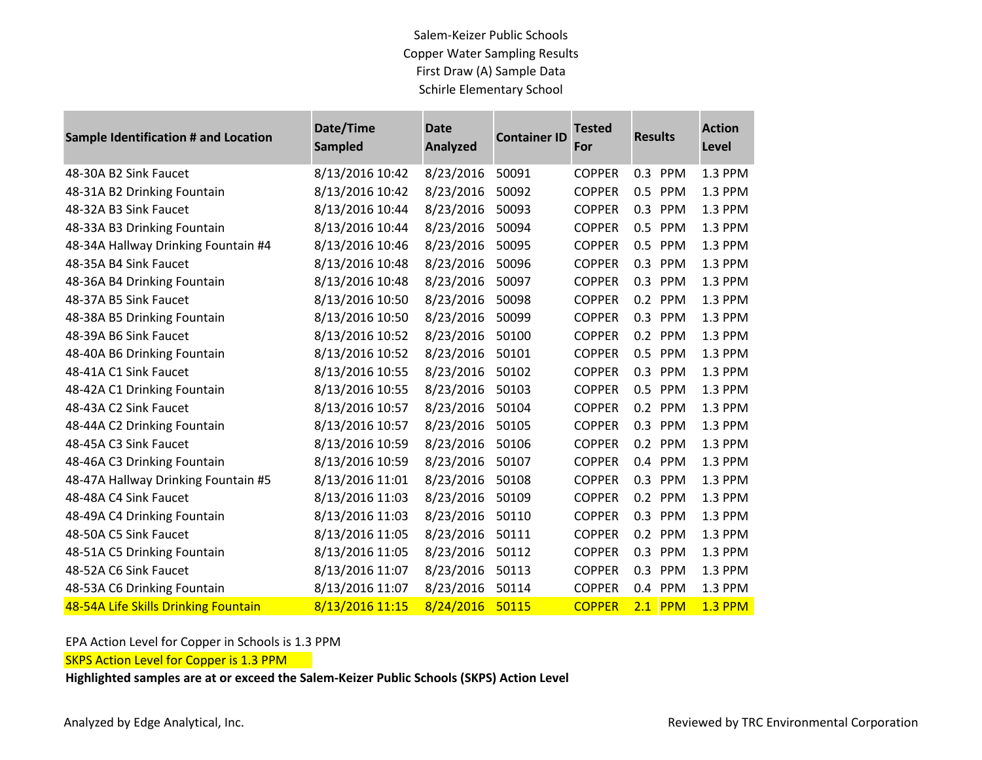### Salem-Keizer Public Schools Copper Water Sampling Results First Draw (A) Sample Data Schirle Elementary School

**STATISTICS** 

**Contract Contract** 

| Sample Identification # and Location | Date/Time<br><b>Sampled</b> | <b>Date</b><br>Analyzed | <b>Container ID</b> | <b>Tested</b><br>For | <b>Results</b>    | <b>Action</b><br>Level |
|--------------------------------------|-----------------------------|-------------------------|---------------------|----------------------|-------------------|------------------------|
| 48-30A B2 Sink Faucet                | 8/13/2016 10:42             | 8/23/2016               | 50091               | <b>COPPER</b>        | 0.3<br>PPM        | 1.3 PPM                |
| 48-31A B2 Drinking Fountain          | 8/13/2016 10:42             | 8/23/2016               | 50092               | <b>COPPER</b>        | 0.5 PPM           | 1.3 PPM                |
| 48-32A B3 Sink Faucet                | 8/13/2016 10:44             | 8/23/2016               | 50093               | <b>COPPER</b>        | 0.3 PPM           | 1.3 PPM                |
| 48-33A B3 Drinking Fountain          | 8/13/2016 10:44             | 8/23/2016               | 50094               | <b>COPPER</b>        | 0.5 PPM           | 1.3 PPM                |
| 48-34A Hallway Drinking Fountain #4  | 8/13/2016 10:46             | 8/23/2016               | 50095               | <b>COPPER</b>        | 0.5 PPM           | 1.3 PPM                |
| 48-35A B4 Sink Faucet                | 8/13/2016 10:48             | 8/23/2016               | 50096               | <b>COPPER</b>        | 0.3 PPM           | 1.3 PPM                |
| 48-36A B4 Drinking Fountain          | 8/13/2016 10:48             | 8/23/2016               | 50097               | <b>COPPER</b>        | 0.3 PPM           | 1.3 PPM                |
| 48-37A B5 Sink Faucet                | 8/13/2016 10:50             | 8/23/2016               | 50098               | <b>COPPER</b>        | 0.2 PPM           | 1.3 PPM                |
| 48-38A B5 Drinking Fountain          | 8/13/2016 10:50             | 8/23/2016               | 50099               | <b>COPPER</b>        | 0.3 PPM           | 1.3 PPM                |
| 48-39A B6 Sink Faucet                | 8/13/2016 10:52             | 8/23/2016               | 50100               | <b>COPPER</b>        | 0.2 PPM           | 1.3 PPM                |
| 48-40A B6 Drinking Fountain          | 8/13/2016 10:52             | 8/23/2016               | 50101               | <b>COPPER</b>        | 0.5<br><b>PPM</b> | 1.3 PPM                |
| 48-41A C1 Sink Faucet                | 8/13/2016 10:55             | 8/23/2016               | 50102               | <b>COPPER</b>        | 0.3 PPM           | 1.3 PPM                |
| 48-42A C1 Drinking Fountain          | 8/13/2016 10:55             | 8/23/2016               | 50103               | <b>COPPER</b>        | 0.5 PPM           | 1.3 PPM                |
| 48-43A C2 Sink Faucet                | 8/13/2016 10:57             | 8/23/2016               | 50104               | <b>COPPER</b>        | 0.2 PPM           | 1.3 PPM                |
| 48-44A C2 Drinking Fountain          | 8/13/2016 10:57             | 8/23/2016               | 50105               | <b>COPPER</b>        | 0.3 PPM           | 1.3 PPM                |
| 48-45A C3 Sink Faucet                | 8/13/2016 10:59             | 8/23/2016               | 50106               | <b>COPPER</b>        | 0.2 PPM           | 1.3 PPM                |
| 48-46A C3 Drinking Fountain          | 8/13/2016 10:59             | 8/23/2016               | 50107               | <b>COPPER</b>        | 0.4 PPM           | 1.3 PPM                |
| 48-47A Hallway Drinking Fountain #5  | 8/13/2016 11:01             | 8/23/2016               | 50108               | <b>COPPER</b>        | 0.3 PPM           | 1.3 PPM                |
| 48-48A C4 Sink Faucet                | 8/13/2016 11:03             | 8/23/2016               | 50109               | <b>COPPER</b>        | 0.2 PPM           | 1.3 PPM                |
| 48-49A C4 Drinking Fountain          | 8/13/2016 11:03             | 8/23/2016               | 50110               | <b>COPPER</b>        | 0.3 PPM           | 1.3 PPM                |
| 48-50A C5 Sink Faucet                | 8/13/2016 11:05             | 8/23/2016               | 50111               | <b>COPPER</b>        | 0.2 PPM           | 1.3 PPM                |
| 48-51A C5 Drinking Fountain          | 8/13/2016 11:05             | 8/23/2016               | 50112               | <b>COPPER</b>        | 0.3 PPM           | 1.3 PPM                |
| 48-52A C6 Sink Faucet                | 8/13/2016 11:07             | 8/23/2016               | 50113               | <b>COPPER</b>        | 0.3 PPM           | 1.3 PPM                |
| 48-53A C6 Drinking Fountain          | 8/13/2016 11:07             | 8/23/2016               | 50114               | <b>COPPER</b>        | 0.4 PPM           | 1.3 PPM                |
| 48-54A Life Skills Drinking Fountain | 8/13/2016 11:15             | 8/24/2016               | 50115               | <b>COPPER</b>        | $2.1$ PPM         | <b>1.3 PPM</b>         |

#### EPA Action Level for Copper in Schools is 1.3 PPM

**SKPS Action Level for Copper is 1.3 PPM** 

**Highlighted samples are at or exceed the Salem-Keizer Public Schools (SKPS) Action Level**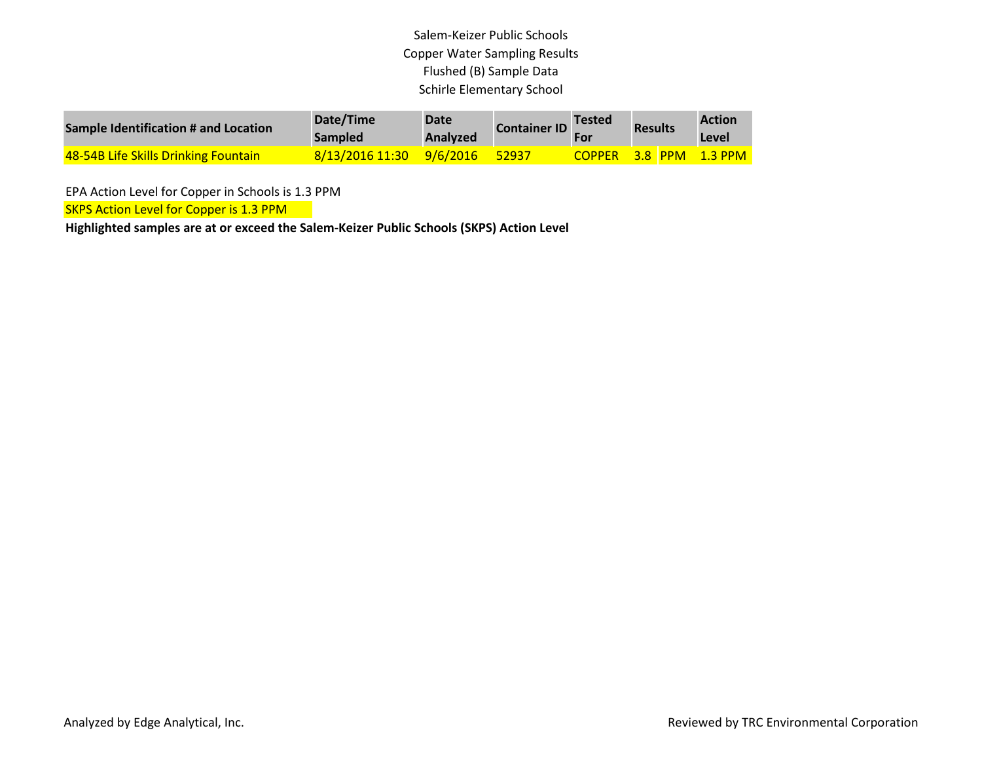# Salem-Keizer Public Schools Copper Water Sampling Results Flushed (B) Sample Data Schirle Elementary School

| Sample Identification # and Location | Date/Time<br>Sampled     | Date<br><b>Analyzed</b> | <b>Container ID</b> | Tested<br><b>For</b> | <b>Results</b> | <b>Action</b><br>Level |
|--------------------------------------|--------------------------|-------------------------|---------------------|----------------------|----------------|------------------------|
| 48-54B Life Skills Drinking Fountain | 8/13/2016 11:30 9/6/2016 |                         | 52937               | <b>COPPER</b>        |                | $-3.8$ PPM $-1.3$ PPM  |

EPA Action Level for Copper in Schools is 1.3 PPM

**SKPS Action Level for Copper is 1.3 PPM** 

**Highlighted samples are at or exceed the Salem-Keizer Public Schools (SKPS) Action Level**